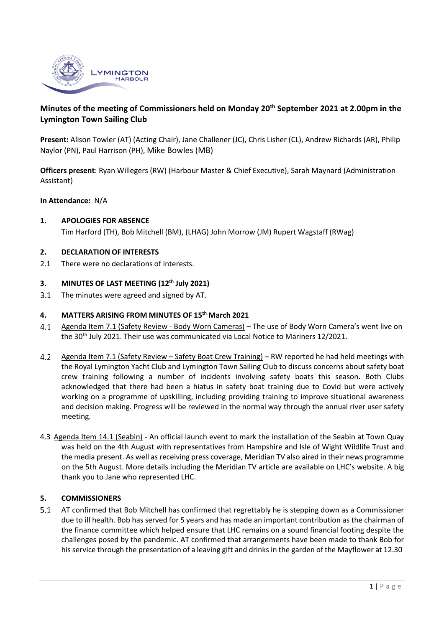

# **Minutes of the meeting of Commissioners held on Monday 20th September 2021 at 2.00pm in the Lymington Town Sailing Club**

**Present:** Alison Towler (AT) (Acting Chair), Jane Challener (JC), Chris Lisher (CL), Andrew Richards (AR), Philip Naylor (PN), Paul Harrison (PH), Mike Bowles (MB)

**Officers present**: Ryan Willegers (RW) (Harbour Master & Chief Executive), Sarah Maynard (Administration Assistant)

### **In Attendance:** N/A

**1. APOLOGIES FOR ABSENCE** Tim Harford (TH), Bob Mitchell (BM), (LHAG) John Morrow (JM) Rupert Wagstaff (RWag)

#### **2. DECLARATION OF INTERESTS**

2.1 There were no declarations of interests.

## **3. MINUTES OF LAST MEETING (12th July 2021)**

 $3.1$ The minutes were agreed and signed by AT.

### **4. MATTERS ARISING FROM MINUTES OF 15th March 2021**

- $4.1$ Agenda Item 7.1 (Safety Review - Body Worn Cameras) – The use of Body Worn Camera's went live on the 30<sup>th</sup> July 2021. Their use was communicated via Local Notice to Mariners 12/2021.
- $4.2$ Agenda Item 7.1 (Safety Review – Safety Boat Crew Training) – RW reported he had held meetings with the Royal Lymington Yacht Club and Lymington Town Sailing Club to discuss concerns about safety boat crew training following a number of incidents involving safety boats this season. Both Clubs acknowledged that there had been a hiatus in safety boat training due to Covid but were actively working on a programme of upskilling, including providing training to improve situational awareness and decision making. Progress will be reviewed in the normal way through the annual river user safety meeting.
- 4.3 Agenda Item 14.1 (Seabin) An official launch event to mark the installation of the Seabin at Town Quay was held on the 4th August with representatives from Hampshire and Isle of Wight Wildlife Trust and the media present. As well as receiving press coverage, Meridian TV also aired in their news programme on the 5th August. More details including the Meridian TV article are available on LHC's website. A big thank you to Jane who represented LHC.

### **5. COMMISSIONERS**

 $5.1$ AT confirmed that Bob Mitchell has confirmed that regrettably he is stepping down as a Commissioner due to ill health. Bob has served for 5 years and has made an important contribution as the chairman of the finance committee which helped ensure that LHC remains on a sound financial footing despite the challenges posed by the pandemic. AT confirmed that arrangements have been made to thank Bob for his service through the presentation of a leaving gift and drinks in the garden of the Mayflower at 12.30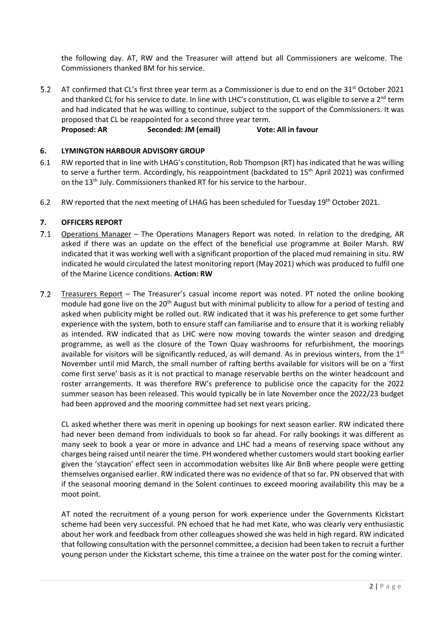the following day. AT, RW and the Treasurer will attend but all Commissioners are welcome. The Commissioners thanked BM for his service.

 $5.2$ AT confirmed that CL's first three year term as a Commissioner is due to end on the 31<sup>st</sup> October 2021 and thanked CL for his service to date. In line with LHC's constitution, CL was eligible to serve a  $2^{nd}$  term and had indicated that he was willing to continue, subject to the support of the Commissioners. It was proposed that CL be reappointed for a second three year term. **Proposed: AR Seconded: JM (email) Vote: All in favour**

# **6. LYMINGTON HARBOUR ADVISORY GROUP**

- 6.1 RW reported that in line with LHAG's constitution, Rob Thompson (RT) has indicated that he was willing to serve a further term. Accordingly, his reappointment (backdated to 15<sup>th</sup> April 2021) was confirmed on the 13<sup>th</sup> July. Commissioners thanked RT for his service to the harbour.
- 6.2 RW reported that the next meeting of LHAG has been scheduled for Tuesday 19<sup>th</sup> October 2021.

### **7. OFFICERS REPORT**

- $7.1$ Operations Manager – The Operations Managers Report was noted. In relation to the dredging, AR asked if there was an update on the effect of the beneficial use programme at Boiler Marsh. RW indicated that it was working well with a significant proportion of the placed mud remaining in situ. RW indicated he would circulated the latest monitoring report (May 2021) which was produced to fulfil one of the Marine Licence conditions. **Action: RW**
- $7.2$ Treasurers Report – The Treasurer's casual income report was noted. PT noted the online booking module had gone live on the 20<sup>th</sup> August but with minimal publicity to allow for a period of testing and asked when publicity might be rolled out. RW indicated that it was his preference to get some further experience with the system, both to ensure staff can familiarise and to ensure that it is working reliably as intended. RW indicated that as LHC were now moving towards the winter season and dredging programme, as well as the closure of the Town Quay washrooms for refurbishment, the moorings available for visitors will be significantly reduced, as will demand. As in previous winters, from the 1st November until mid March, the small number of rafting berths available for visitors will be on a 'first come first serve' basis as it is not practical to manage reservable berths on the winter headcount and roster arrangements. It was therefore RW's preference to publicise once the capacity for the 2022 summer season has been released. This would typically be in late November once the 2022/23 budget had been approved and the mooring committee had set next years pricing.

CL asked whether there was merit in opening up bookings for next season earlier. RW indicated there had never been demand from individuals to book so far ahead. For rally bookings it was different as many seek to book a year or more in advance and LHC had a means of reserving space without any charges being raised until nearer the time. PH wondered whether customers would start booking earlier given the 'staycation' effect seen in accommodation websites like Air BnB where people were getting themselves organised earlier. RW indicated there was no evidence of that so far. PN observed that with if the seasonal mooring demand in the Solent continues to exceed mooring availability this may be a moot point.

AT noted the recruitment of a young person for work experience under the Governments Kickstart scheme had been very successful. PN echoed that he had met Kate, who was clearly very enthusiastic about her work and feedback from other colleagues showed she was held in high regard. RW indicated that following consultation with the personnel committee, a decision had been taken to recruit a further young person under the Kickstart scheme, this time a trainee on the water post for the coming winter.